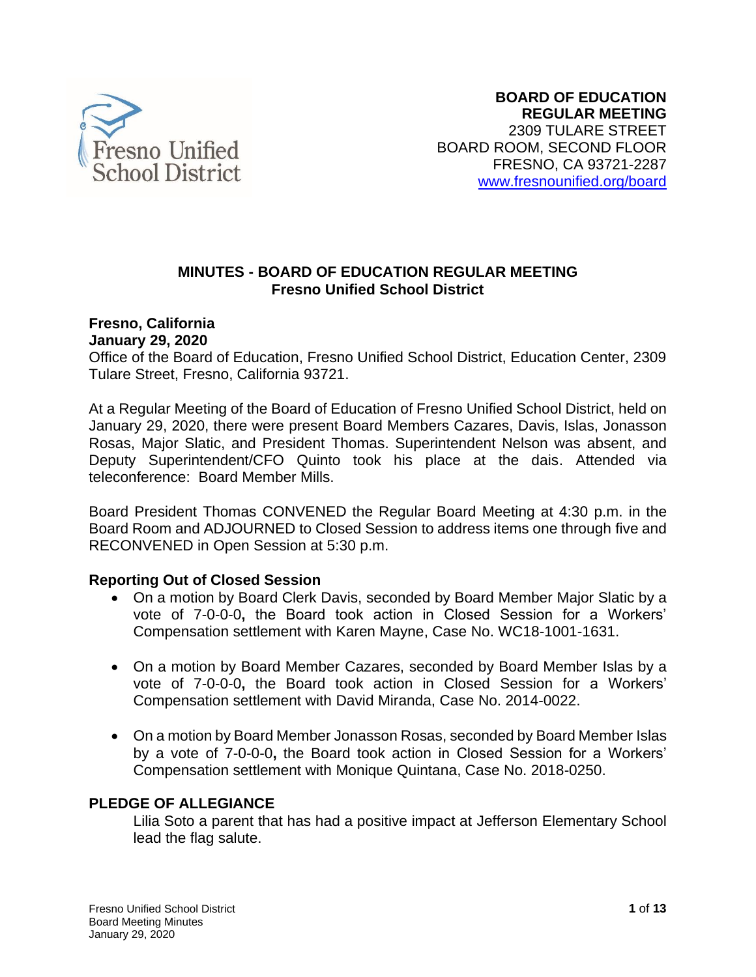

#### **MINUTES - BOARD OF EDUCATION REGULAR MEETING Fresno Unified School District**

# **Fresno, California**

## **January 29, 2020**

Office of the Board of Education, Fresno Unified School District, Education Center, 2309 Tulare Street, Fresno, California 93721.

At a Regular Meeting of the Board of Education of Fresno Unified School District, held on January 29, 2020, there were present Board Members Cazares, Davis, Islas, Jonasson Rosas, Major Slatic, and President Thomas. Superintendent Nelson was absent, and Deputy Superintendent/CFO Quinto took his place at the dais. Attended via teleconference: Board Member Mills.

Board President Thomas CONVENED the Regular Board Meeting at 4:30 p.m. in the Board Room and ADJOURNED to Closed Session to address items one through five and RECONVENED in Open Session at 5:30 p.m.

#### **Reporting Out of Closed Session**

- On a motion by Board Clerk Davis, seconded by Board Member Major Slatic by a vote of 7-0-0-0**,** the Board took action in Closed Session for a Workers' Compensation settlement with Karen Mayne, Case No. WC18-1001-1631.
- On a motion by Board Member Cazares, seconded by Board Member Islas by a vote of 7-0-0-0**,** the Board took action in Closed Session for a Workers' Compensation settlement with David Miranda, Case No. 2014-0022.
- On a motion by Board Member Jonasson Rosas, seconded by Board Member Islas by a vote of 7-0-0-0**,** the Board took action in Closed Session for a Workers' Compensation settlement with Monique Quintana, Case No. 2018-0250.

# **PLEDGE OF ALLEGIANCE**

Lilia Soto a parent that has had a positive impact at Jefferson Elementary School lead the flag salute.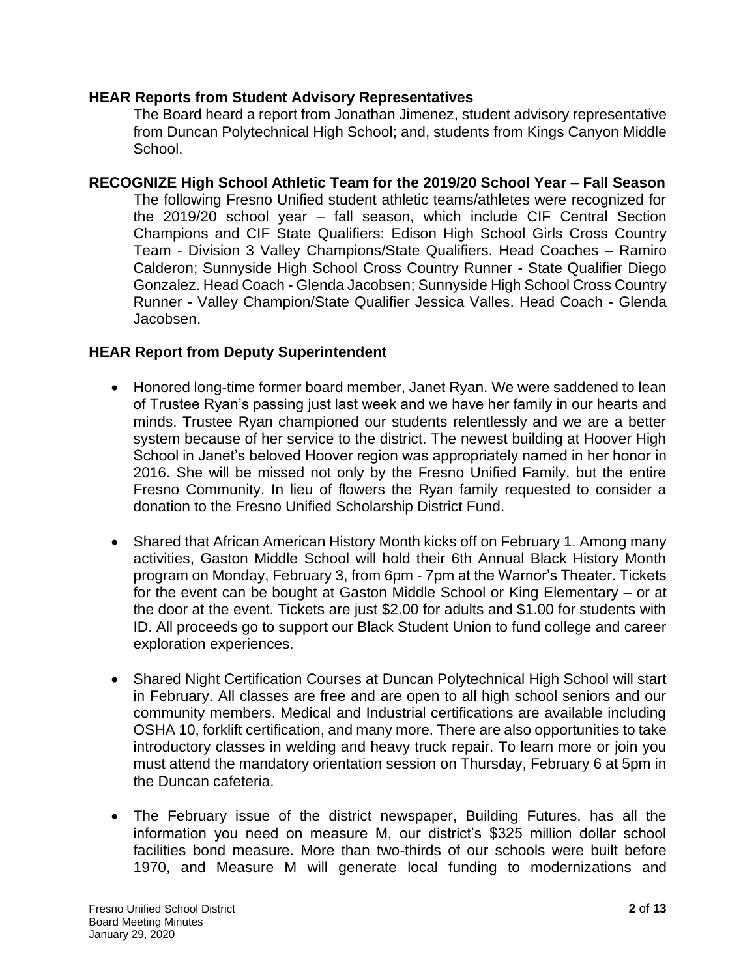#### **HEAR Reports from Student Advisory Representatives**

The Board heard a report from Jonathan Jimenez, student advisory representative from Duncan Polytechnical High School; and, students from Kings Canyon Middle School.

**RECOGNIZE High School Athletic Team for the 2019/20 School Year – Fall Season**  The following Fresno Unified student athletic teams/athletes were recognized for the 2019/20 school year – fall season, which include CIF Central Section Champions and CIF State Qualifiers: Edison High School Girls Cross Country Team - Division 3 Valley Champions/State Qualifiers. Head Coaches – Ramiro Calderon; Sunnyside High School Cross Country Runner - State Qualifier Diego Gonzalez. Head Coach - Glenda Jacobsen; Sunnyside High School Cross Country Runner - Valley Champion/State Qualifier Jessica Valles. Head Coach - Glenda Jacobsen.

#### **HEAR Report from Deputy Superintendent**

- Honored long-time former board member, Janet Ryan. We were saddened to lean of Trustee Ryan's passing just last week and we have her family in our hearts and minds. Trustee Ryan championed our students relentlessly and we are a better system because of her service to the district. The newest building at Hoover High School in Janet's beloved Hoover region was appropriately named in her honor in 2016. She will be missed not only by the Fresno Unified Family, but the entire Fresno Community. In lieu of flowers the Ryan family requested to consider a donation to the Fresno Unified Scholarship District Fund.
- Shared that African American History Month kicks off on February 1. Among many activities, Gaston Middle School will hold their 6th Annual Black History Month program on Monday, February 3, from 6pm - 7pm at the Warnor's Theater. Tickets for the event can be bought at Gaston Middle School or King Elementary – or at the door at the event. Tickets are just \$2.00 for adults and \$1.00 for students with ID. All proceeds go to support our Black Student Union to fund college and career exploration experiences.
- Shared Night Certification Courses at Duncan Polytechnical High School will start in February. All classes are free and are open to all high school seniors and our community members. Medical and Industrial certifications are available including OSHA 10, forklift certification, and many more. There are also opportunities to take introductory classes in welding and heavy truck repair. To learn more or join you must attend the mandatory orientation session on Thursday, February 6 at 5pm in the Duncan cafeteria.
- The February issue of the district newspaper, Building Futures. has all the information you need on measure M, our district's \$325 million dollar school facilities bond measure. More than two-thirds of our schools were built before 1970, and Measure M will generate local funding to modernizations and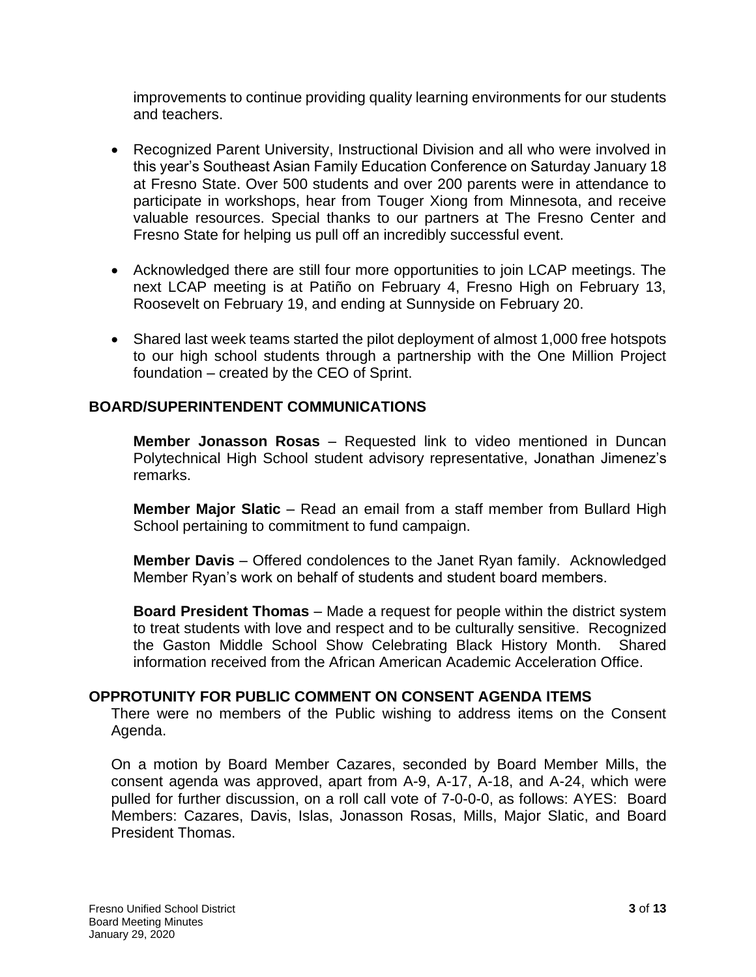improvements to continue providing quality learning environments for our students and teachers.

- Recognized Parent University, Instructional Division and all who were involved in this year's Southeast Asian Family Education Conference on Saturday January 18 at Fresno State. Over 500 students and over 200 parents were in attendance to participate in workshops, hear from Touger Xiong from Minnesota, and receive valuable resources. Special thanks to our partners at The Fresno Center and Fresno State for helping us pull off an incredibly successful event.
- Acknowledged there are still four more opportunities to join LCAP meetings. The next LCAP meeting is at Patiño on February 4, Fresno High on February 13, Roosevelt on February 19, and ending at Sunnyside on February 20.
- Shared last week teams started the pilot deployment of almost 1,000 free hotspots to our high school students through a partnership with the One Million Project foundation – created by the CEO of Sprint.

## **BOARD/SUPERINTENDENT COMMUNICATIONS**

**Member Jonasson Rosas** – Requested link to video mentioned in Duncan Polytechnical High School student advisory representative, Jonathan Jimenez's remarks.

**Member Major Slatic** – Read an email from a staff member from Bullard High School pertaining to commitment to fund campaign.

**Member Davis** – Offered condolences to the Janet Ryan family. Acknowledged Member Ryan's work on behalf of students and student board members.

**Board President Thomas** – Made a request for people within the district system to treat students with love and respect and to be culturally sensitive. Recognized the Gaston Middle School Show Celebrating Black History Month. Shared information received from the African American Academic Acceleration Office.

#### **OPPROTUNITY FOR PUBLIC COMMENT ON CONSENT AGENDA ITEMS**

There were no members of the Public wishing to address items on the Consent Agenda.

On a motion by Board Member Cazares, seconded by Board Member Mills, the consent agenda was approved, apart from A-9, A-17, A-18, and A-24, which were pulled for further discussion, on a roll call vote of 7-0-0-0, as follows: AYES: Board Members: Cazares, Davis, Islas, Jonasson Rosas, Mills, Major Slatic, and Board President Thomas.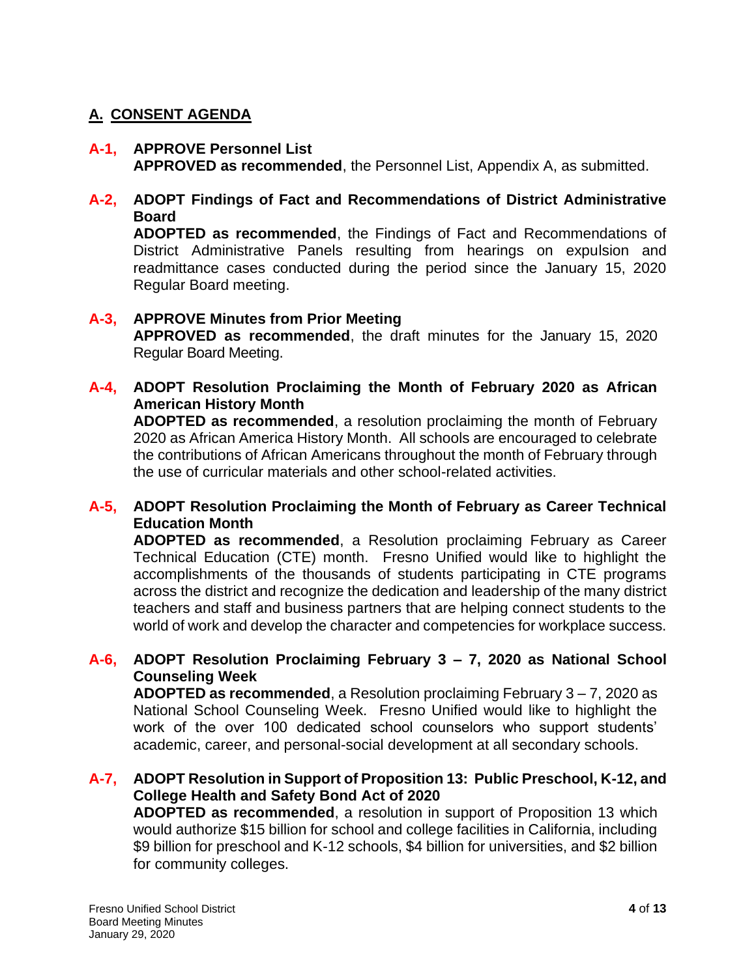# **A. CONSENT AGENDA**

#### **A-1, APPROVE Personnel List APPROVED as recommended**, the Personnel List, Appendix A, as submitted.

# **A-2, ADOPT Findings of Fact and Recommendations of District Administrative Board**

**ADOPTED as recommended**, the Findings of Fact and Recommendations of District Administrative Panels resulting from hearings on expulsion and readmittance cases conducted during the period since the January 15, 2020 Regular Board meeting.

# **A-3, APPROVE Minutes from Prior Meeting**

**APPROVED as recommended**, the draft minutes for the January 15, 2020 Regular Board Meeting.

# **A-4, ADOPT Resolution Proclaiming the Month of February 2020 as African American History Month**

**ADOPTED as recommended**, a resolution proclaiming the month of February 2020 as African America History Month. All schools are encouraged to celebrate the contributions of African Americans throughout the month of February through the use of curricular materials and other school-related activities.

## **A-5, ADOPT Resolution Proclaiming the Month of February as Career Technical Education Month**

**ADOPTED as recommended**, a Resolution proclaiming February as Career Technical Education (CTE) month. Fresno Unified would like to highlight the accomplishments of the thousands of students participating in CTE programs across the district and recognize the dedication and leadership of the many district teachers and staff and business partners that are helping connect students to the world of work and develop the character and competencies for workplace success.

## **A-6, ADOPT Resolution Proclaiming February 3 – 7, 2020 as National School Counseling Week**

**ADOPTED as recommended**, a Resolution proclaiming February 3 – 7, 2020 as National School Counseling Week. Fresno Unified would like to highlight the work of the over 100 dedicated school counselors who support students' academic, career, and personal-social development at all secondary schools.

## **A-7, ADOPT Resolution in Support of Proposition 13: Public Preschool, K-12, and College Health and Safety Bond Act of 2020**

**ADOPTED as recommended**, a resolution in support of Proposition 13 which would authorize \$15 billion for school and college facilities in California, including \$9 billion for preschool and K-12 schools, \$4 billion for universities, and \$2 billion for community colleges.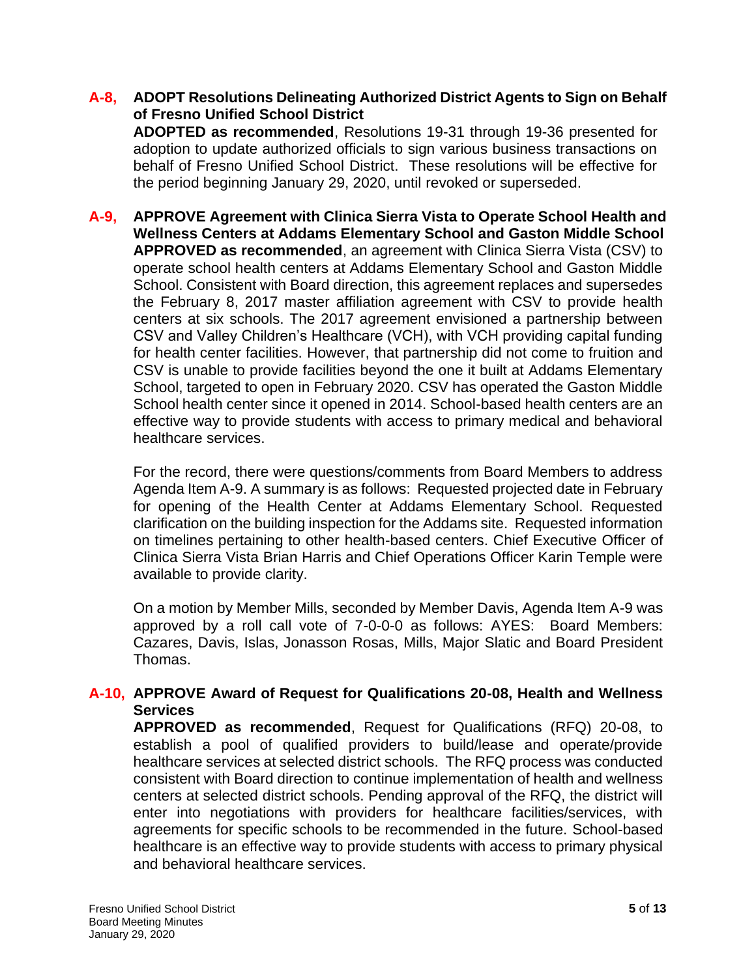#### **A-8, ADOPT Resolutions Delineating Authorized District Agents to Sign on Behalf of Fresno Unified School District**

**ADOPTED as recommended**, Resolutions 19-31 through 19-36 presented for adoption to update authorized officials to sign various business transactions on behalf of Fresno Unified School District. These resolutions will be effective for the period beginning January 29, 2020, until revoked or superseded.

**A-9, APPROVE Agreement with Clinica Sierra Vista to Operate School Health and Wellness Centers at Addams Elementary School and Gaston Middle School APPROVED as recommended**, an agreement with Clinica Sierra Vista (CSV) to operate school health centers at Addams Elementary School and Gaston Middle School. Consistent with Board direction, this agreement replaces and supersedes the February 8, 2017 master affiliation agreement with CSV to provide health centers at six schools. The 2017 agreement envisioned a partnership between CSV and Valley Children's Healthcare (VCH), with VCH providing capital funding for health center facilities. However, that partnership did not come to fruition and CSV is unable to provide facilities beyond the one it built at Addams Elementary School, targeted to open in February 2020. CSV has operated the Gaston Middle School health center since it opened in 2014. School-based health centers are an effective way to provide students with access to primary medical and behavioral healthcare services.

For the record, there were questions/comments from Board Members to address Agenda Item A-9. A summary is as follows: Requested projected date in February for opening of the Health Center at Addams Elementary School. Requested clarification on the building inspection for the Addams site. Requested information on timelines pertaining to other health-based centers. Chief Executive Officer of Clinica Sierra Vista Brian Harris and Chief Operations Officer Karin Temple were available to provide clarity.

On a motion by Member Mills, seconded by Member Davis, Agenda Item A-9 was approved by a roll call vote of 7-0-0-0 as follows: AYES: Board Members: Cazares, Davis, Islas, Jonasson Rosas, Mills, Major Slatic and Board President Thomas.

## **A-10, APPROVE Award of Request for Qualifications 20-08, Health and Wellness Services**

**APPROVED as recommended**, Request for Qualifications (RFQ) 20-08, to establish a pool of qualified providers to build/lease and operate/provide healthcare services at selected district schools. The RFQ process was conducted consistent with Board direction to continue implementation of health and wellness centers at selected district schools. Pending approval of the RFQ, the district will enter into negotiations with providers for healthcare facilities/services, with agreements for specific schools to be recommended in the future. School-based healthcare is an effective way to provide students with access to primary physical and behavioral healthcare services.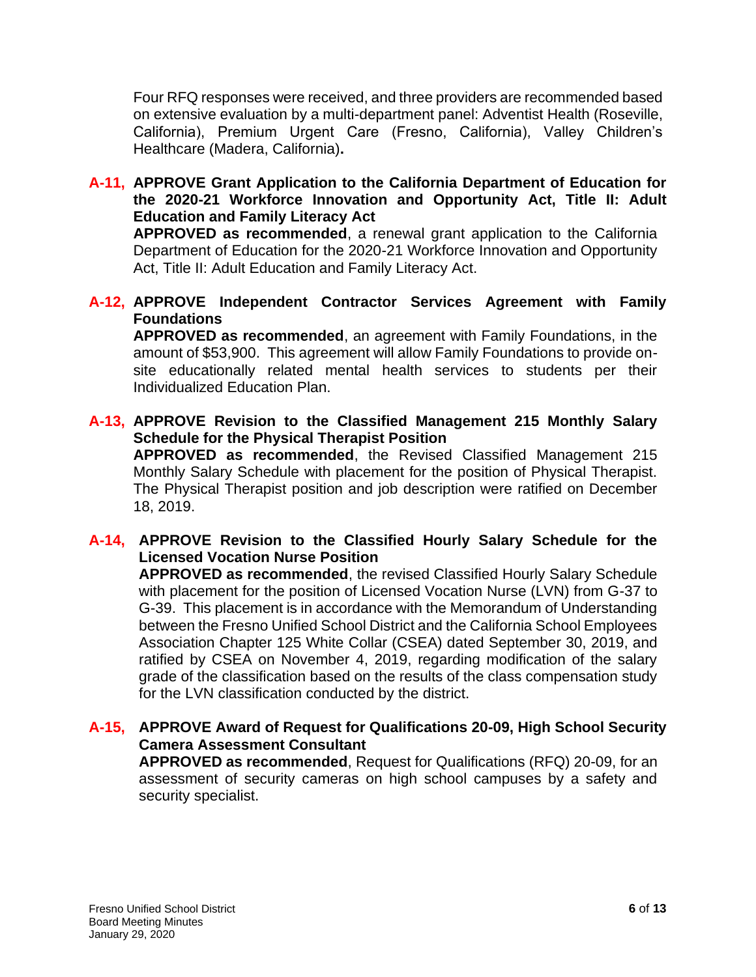Four RFQ responses were received, and three providers are recommended based on extensive evaluation by a multi-department panel: Adventist Health (Roseville, California), Premium Urgent Care (Fresno, California), Valley Children's Healthcare (Madera, California)**.** 

**A-11, APPROVE Grant Application to the California Department of Education for the 2020-21 Workforce Innovation and Opportunity Act, Title II: Adult Education and Family Literacy Act**

**APPROVED as recommended**, a renewal grant application to the California Department of Education for the 2020-21 Workforce Innovation and Opportunity Act, Title II: Adult Education and Family Literacy Act.

**A-12, APPROVE Independent Contractor Services Agreement with Family Foundations**

**APPROVED as recommended**, an agreement with Family Foundations, in the amount of \$53,900. This agreement will allow Family Foundations to provide onsite educationally related mental health services to students per their Individualized Education Plan.

**A-13, APPROVE Revision to the Classified Management 215 Monthly Salary Schedule for the Physical Therapist Position**

**APPROVED as recommended**, the Revised Classified Management 215 Monthly Salary Schedule with placement for the position of Physical Therapist. The Physical Therapist position and job description were ratified on December 18, 2019.

## **A-14, APPROVE Revision to the Classified Hourly Salary Schedule for the Licensed Vocation Nurse Position**

**APPROVED as recommended**, the revised Classified Hourly Salary Schedule with placement for the position of Licensed Vocation Nurse (LVN) from G-37 to G-39. This placement is in accordance with the Memorandum of Understanding between the Fresno Unified School District and the California School Employees Association Chapter 125 White Collar (CSEA) dated September 30, 2019, and ratified by CSEA on November 4, 2019, regarding modification of the salary grade of the classification based on the results of the class compensation study for the LVN classification conducted by the district.

**A-15, APPROVE Award of Request for Qualifications 20-09, High School Security Camera Assessment Consultant**

**APPROVED as recommended**, Request for Qualifications (RFQ) 20-09, for an assessment of security cameras on high school campuses by a safety and security specialist.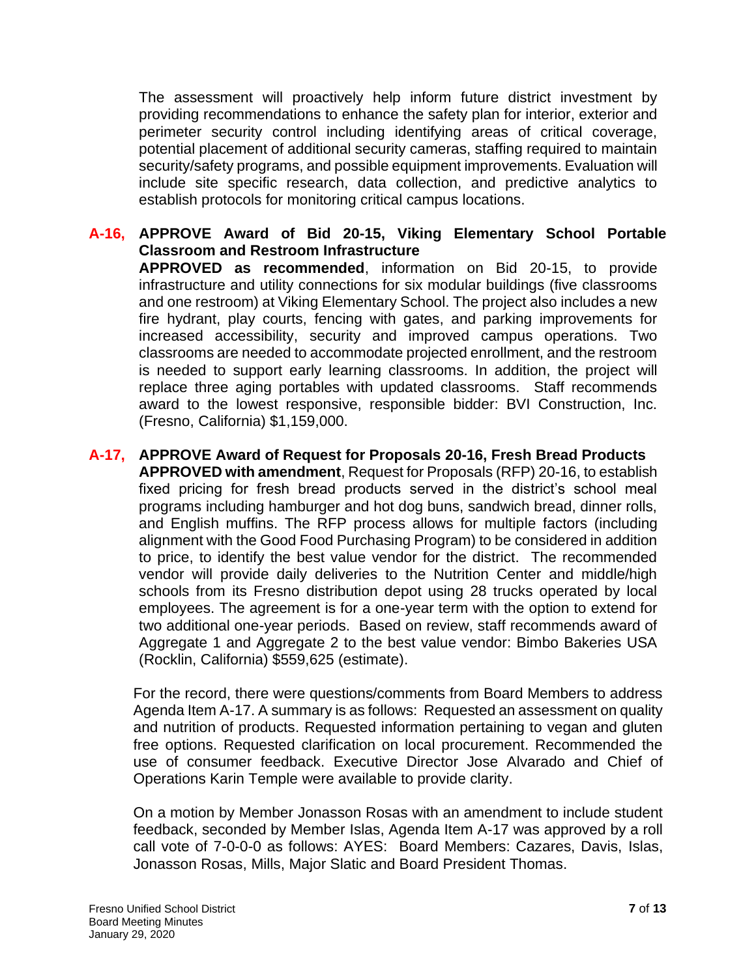The assessment will proactively help inform future district investment by providing recommendations to enhance the safety plan for interior, exterior and perimeter security control including identifying areas of critical coverage, potential placement of additional security cameras, staffing required to maintain security/safety programs, and possible equipment improvements. Evaluation will include site specific research, data collection, and predictive analytics to establish protocols for monitoring critical campus locations.

- **A-16, APPROVE Award of Bid 20-15, Viking Elementary School Portable Classroom and Restroom Infrastructure APPROVED as recommended**, information on Bid 20-15, to provide infrastructure and utility connections for six modular buildings (five classrooms and one restroom) at Viking Elementary School. The project also includes a new fire hydrant, play courts, fencing with gates, and parking improvements for increased accessibility, security and improved campus operations. Two classrooms are needed to accommodate projected enrollment, and the restroom is needed to support early learning classrooms. In addition, the project will replace three aging portables with updated classrooms. Staff recommends award to the lowest responsive, responsible bidder: BVI Construction, Inc. (Fresno, California) \$1,159,000.
- **A-17, APPROVE Award of Request for Proposals 20-16, Fresh Bread Products APPROVED with amendment**, Request for Proposals (RFP) 20-16, to establish fixed pricing for fresh bread products served in the district's school meal programs including hamburger and hot dog buns, sandwich bread, dinner rolls, and English muffins. The RFP process allows for multiple factors (including alignment with the Good Food Purchasing Program) to be considered in addition to price, to identify the best value vendor for the district. The recommended vendor will provide daily deliveries to the Nutrition Center and middle/high schools from its Fresno distribution depot using 28 trucks operated by local employees. The agreement is for a one-year term with the option to extend for two additional one-year periods. Based on review, staff recommends award of Aggregate 1 and Aggregate 2 to the best value vendor: Bimbo Bakeries USA (Rocklin, California) \$559,625 (estimate).

For the record, there were questions/comments from Board Members to address Agenda Item A-17. A summary is as follows: Requested an assessment on quality and nutrition of products. Requested information pertaining to vegan and gluten free options. Requested clarification on local procurement. Recommended the use of consumer feedback. Executive Director Jose Alvarado and Chief of Operations Karin Temple were available to provide clarity.

On a motion by Member Jonasson Rosas with an amendment to include student feedback, seconded by Member Islas, Agenda Item A-17 was approved by a roll call vote of 7-0-0-0 as follows: AYES: Board Members: Cazares, Davis, Islas, Jonasson Rosas, Mills, Major Slatic and Board President Thomas.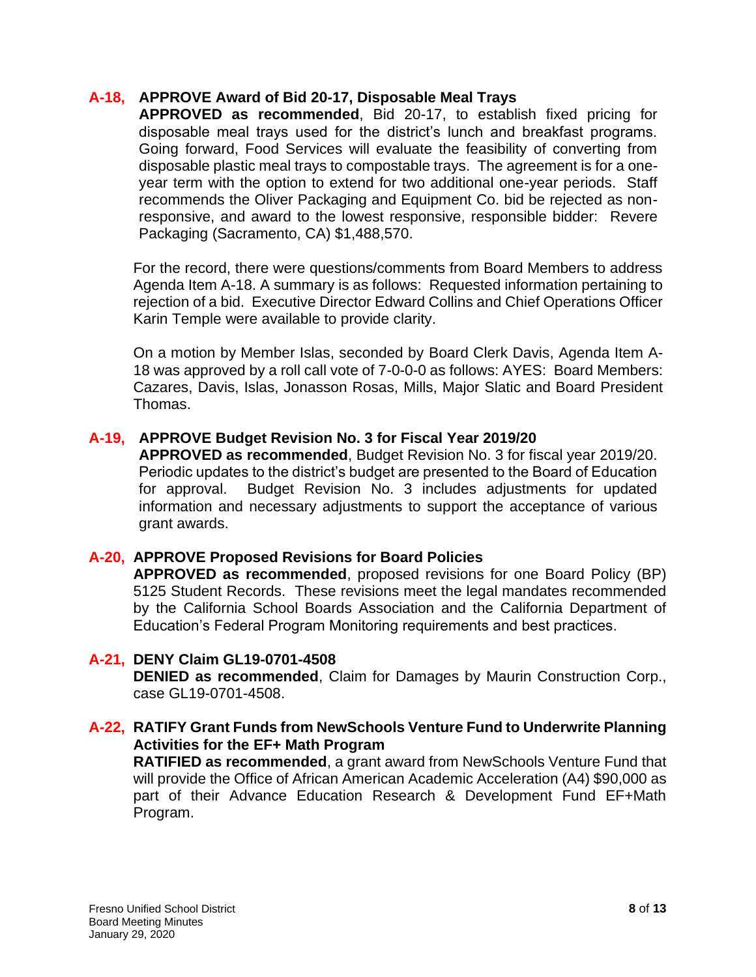#### **A-18, APPROVE Award of Bid 20-17, Disposable Meal Trays**

**APPROVED as recommended**, Bid 20-17, to establish fixed pricing for disposable meal trays used for the district's lunch and breakfast programs. Going forward, Food Services will evaluate the feasibility of converting from disposable plastic meal trays to compostable trays. The agreement is for a oneyear term with the option to extend for two additional one-year periods. Staff recommends the Oliver Packaging and Equipment Co. bid be rejected as nonresponsive, and award to the lowest responsive, responsible bidder: Revere Packaging (Sacramento, CA) \$1,488,570.

For the record, there were questions/comments from Board Members to address Agenda Item A-18. A summary is as follows: Requested information pertaining to rejection of a bid. Executive Director Edward Collins and Chief Operations Officer Karin Temple were available to provide clarity.

On a motion by Member Islas, seconded by Board Clerk Davis, Agenda Item A-18 was approved by a roll call vote of 7-0-0-0 as follows: AYES: Board Members: Cazares, Davis, Islas, Jonasson Rosas, Mills, Major Slatic and Board President Thomas.

## **A-19, APPROVE Budget Revision No. 3 for Fiscal Year 2019/20**

**APPROVED as recommended**, Budget Revision No. 3 for fiscal year 2019/20. Periodic updates to the district's budget are presented to the Board of Education for approval. Budget Revision No. 3 includes adjustments for updated information and necessary adjustments to support the acceptance of various grant awards.

#### **A-20, APPROVE Proposed Revisions for Board Policies**

**APPROVED as recommended**, proposed revisions for one Board Policy (BP) 5125 Student Records. These revisions meet the legal mandates recommended by the California School Boards Association and the California Department of Education's Federal Program Monitoring requirements and best practices.

#### **A-21, DENY Claim GL19-0701-4508**

**DENIED as recommended**, Claim for Damages by Maurin Construction Corp., case GL19-0701-4508.

## **A-22, RATIFY Grant Funds from NewSchools Venture Fund to Underwrite Planning Activities for the EF+ Math Program**

**RATIFIED as recommended**, a grant award from NewSchools Venture Fund that will provide the Office of African American Academic Acceleration (A4) \$90,000 as part of their Advance Education Research & Development Fund EF+Math Program.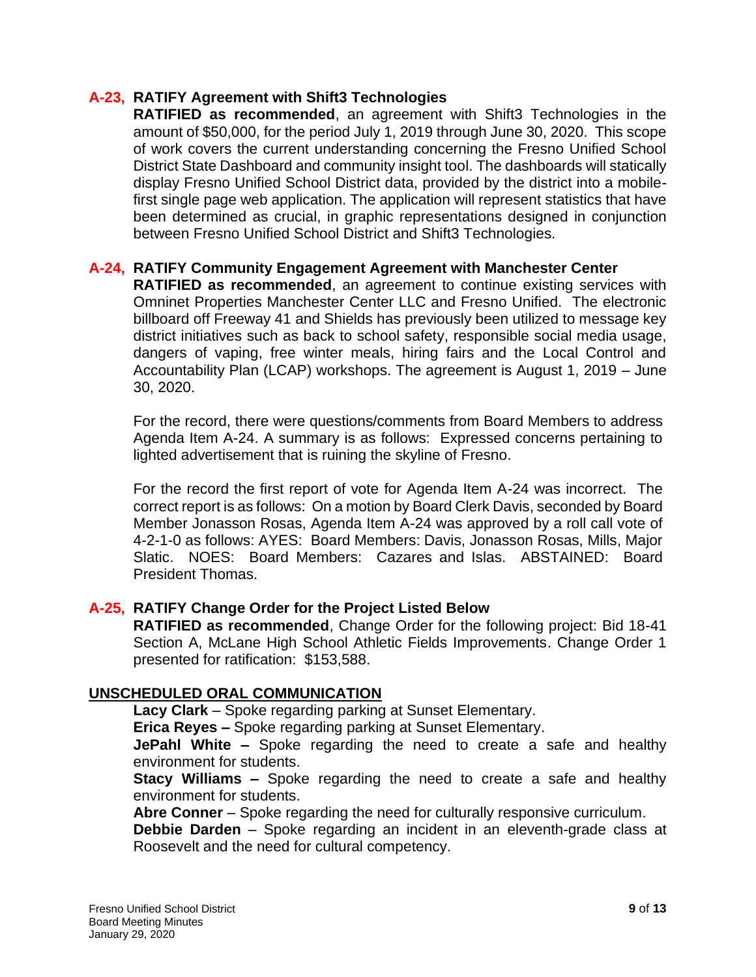#### **A-23, RATIFY Agreement with Shift3 Technologies**

**RATIFIED as recommended**, an agreement with Shift3 Technologies in the amount of \$50,000, for the period July 1, 2019 through June 30, 2020. This scope of work covers the current understanding concerning the Fresno Unified School District State Dashboard and community insight tool. The dashboards will statically display Fresno Unified School District data, provided by the district into a mobilefirst single page web application. The application will represent statistics that have been determined as crucial, in graphic representations designed in conjunction between Fresno Unified School District and Shift3 Technologies.

## **A-24, RATIFY Community Engagement Agreement with Manchester Center**

**RATIFIED as recommended**, an agreement to continue existing services with Omninet Properties Manchester Center LLC and Fresno Unified. The electronic billboard off Freeway 41 and Shields has previously been utilized to message key district initiatives such as back to school safety, responsible social media usage, dangers of vaping, free winter meals, hiring fairs and the Local Control and Accountability Plan (LCAP) workshops. The agreement is August 1, 2019 – June 30, 2020.

For the record, there were questions/comments from Board Members to address Agenda Item A-24. A summary is as follows: Expressed concerns pertaining to lighted advertisement that is ruining the skyline of Fresno.

For the record the first report of vote for Agenda Item A-24 was incorrect. The correct report is as follows: On a motion by Board Clerk Davis, seconded by Board Member Jonasson Rosas, Agenda Item A-24 was approved by a roll call vote of 4-2-1-0 as follows: AYES: Board Members: Davis, Jonasson Rosas, Mills, Major Slatic. NOES: Board Members: Cazares and Islas. ABSTAINED: Board President Thomas.

# **A-25, RATIFY Change Order for the Project Listed Below**

**RATIFIED as recommended**, Change Order for the following project: Bid 18-41 Section A, McLane High School Athletic Fields Improvements. Change Order 1 presented for ratification: \$153,588.

# **UNSCHEDULED ORAL COMMUNICATION**

**Lacy Clark** – Spoke regarding parking at Sunset Elementary.

**Erica Reyes –** Spoke regarding parking at Sunset Elementary.

**JePahl White –** Spoke regarding the need to create a safe and healthy environment for students.

**Stacy Williams –** Spoke regarding the need to create a safe and healthy environment for students.

**Abre Conner** – Spoke regarding the need for culturally responsive curriculum.

**Debbie Darden** – Spoke regarding an incident in an eleventh-grade class at Roosevelt and the need for cultural competency.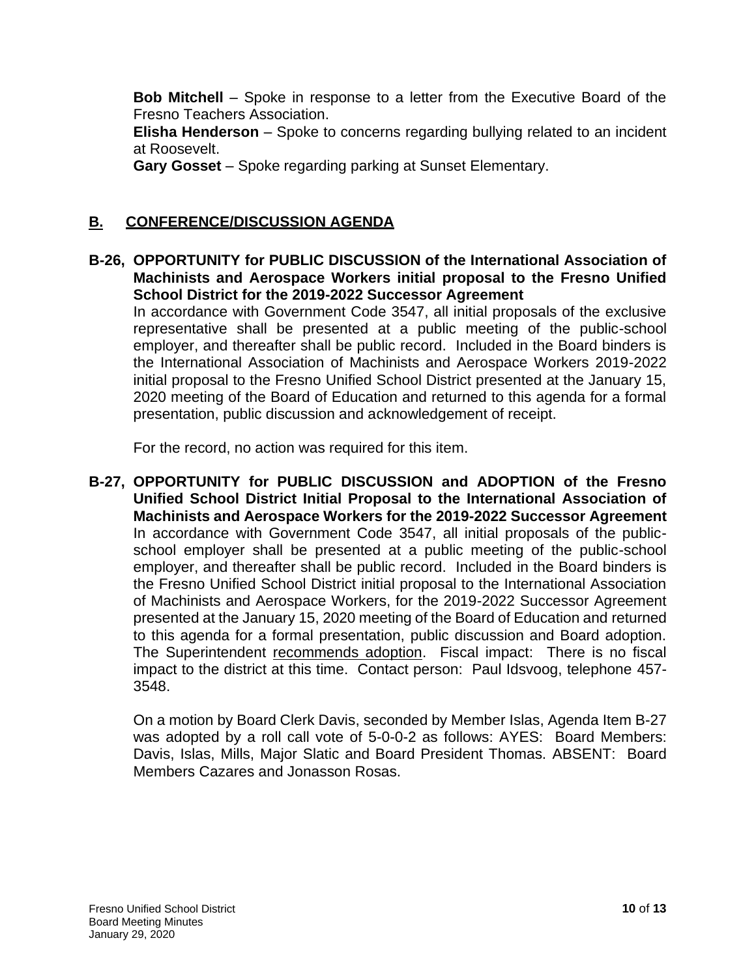**Bob Mitchell** – Spoke in response to a letter from the Executive Board of the Fresno Teachers Association.

**Elisha Henderson** – Spoke to concerns regarding bullying related to an incident at Roosevelt.

**Gary Gosset** – Spoke regarding parking at Sunset Elementary.

#### **B. CONFERENCE/DISCUSSION AGENDA**

**B-26, OPPORTUNITY for PUBLIC DISCUSSION of the International Association of Machinists and Aerospace Workers initial proposal to the Fresno Unified School District for the 2019-2022 Successor Agreement**

In accordance with Government Code 3547, all initial proposals of the exclusive representative shall be presented at a public meeting of the public-school employer, and thereafter shall be public record. Included in the Board binders is the International Association of Machinists and Aerospace Workers 2019-2022 initial proposal to the Fresno Unified School District presented at the January 15, 2020 meeting of the Board of Education and returned to this agenda for a formal presentation, public discussion and acknowledgement of receipt.

For the record, no action was required for this item.

**B-27, OPPORTUNITY for PUBLIC DISCUSSION and ADOPTION of the Fresno Unified School District Initial Proposal to the International Association of Machinists and Aerospace Workers for the 2019-2022 Successor Agreement** In accordance with Government Code 3547, all initial proposals of the publicschool employer shall be presented at a public meeting of the public-school employer, and thereafter shall be public record. Included in the Board binders is the Fresno Unified School District initial proposal to the International Association of Machinists and Aerospace Workers, for the 2019-2022 Successor Agreement presented at the January 15, 2020 meeting of the Board of Education and returned to this agenda for a formal presentation, public discussion and Board adoption. The Superintendent recommends adoption. Fiscal impact: There is no fiscal impact to the district at this time. Contact person: Paul Idsvoog, telephone 457- 3548.

On a motion by Board Clerk Davis, seconded by Member Islas, Agenda Item B-27 was adopted by a roll call vote of 5-0-0-2 as follows: AYES: Board Members: Davis, Islas, Mills, Major Slatic and Board President Thomas. ABSENT: Board Members Cazares and Jonasson Rosas.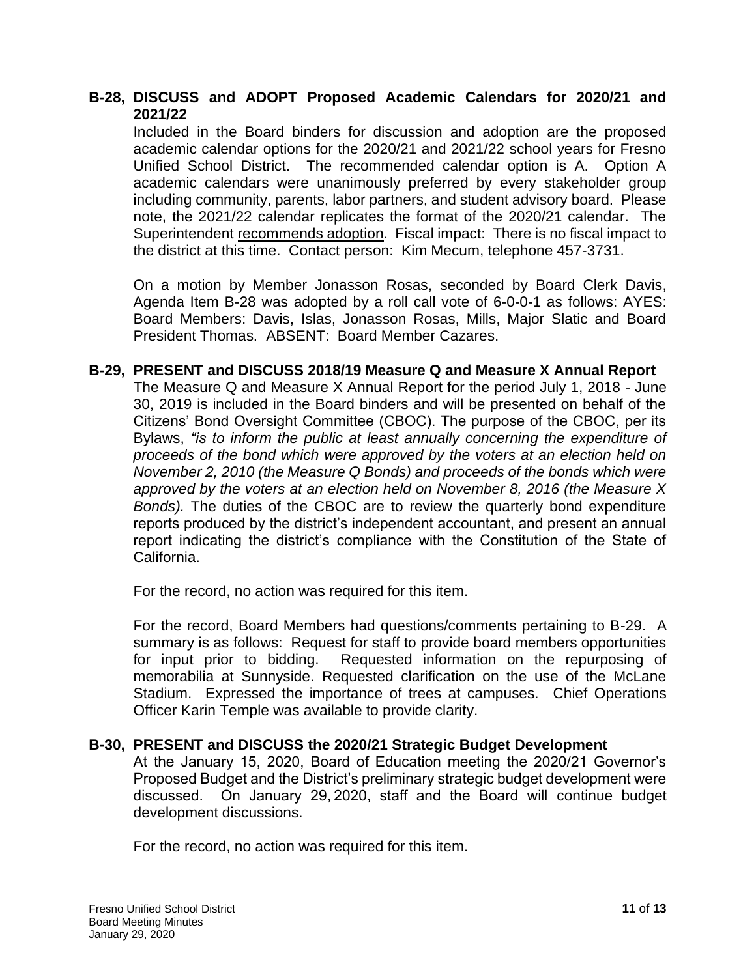#### **B-28, DISCUSS and ADOPT Proposed Academic Calendars for 2020/21 and 2021/22**

Included in the Board binders for discussion and adoption are the proposed academic calendar options for the 2020/21 and 2021/22 school years for Fresno Unified School District. The recommended calendar option is A. Option A academic calendars were unanimously preferred by every stakeholder group including community, parents, labor partners, and student advisory board. Please note, the 2021/22 calendar replicates the format of the 2020/21 calendar. The Superintendent recommends adoption. Fiscal impact: There is no fiscal impact to the district at this time. Contact person: Kim Mecum, telephone 457-3731.

On a motion by Member Jonasson Rosas, seconded by Board Clerk Davis, Agenda Item B-28 was adopted by a roll call vote of 6-0-0-1 as follows: AYES: Board Members: Davis, Islas, Jonasson Rosas, Mills, Major Slatic and Board President Thomas. ABSENT: Board Member Cazares.

#### **B-29, PRESENT and DISCUSS 2018/19 Measure Q and Measure X Annual Report**

The Measure Q and Measure X Annual Report for the period July 1, 2018 - June 30, 2019 is included in the Board binders and will be presented on behalf of the Citizens' Bond Oversight Committee (CBOC). The purpose of the CBOC, per its Bylaws, *"is to inform the public at least annually concerning the expenditure of proceeds of the bond which were approved by the voters at an election held on November 2, 2010 (the Measure Q Bonds) and proceeds of the bonds which were approved by the voters at an election held on November 8, 2016 (the Measure X Bonds).* The duties of the CBOC are to review the quarterly bond expenditure reports produced by the district's independent accountant, and present an annual report indicating the district's compliance with the Constitution of the State of California.

For the record, no action was required for this item.

For the record, Board Members had questions/comments pertaining to B-29. A summary is as follows: Request for staff to provide board members opportunities for input prior to bidding. Requested information on the repurposing of memorabilia at Sunnyside. Requested clarification on the use of the McLane Stadium. Expressed the importance of trees at campuses. Chief Operations Officer Karin Temple was available to provide clarity.

#### **B-30, PRESENT and DISCUSS the 2020/21 Strategic Budget Development**

At the January 15, 2020, Board of Education meeting the 2020/21 Governor's Proposed Budget and the District's preliminary strategic budget development were discussed. On January 29, 2020, staff and the Board will continue budget development discussions.

For the record, no action was required for this item.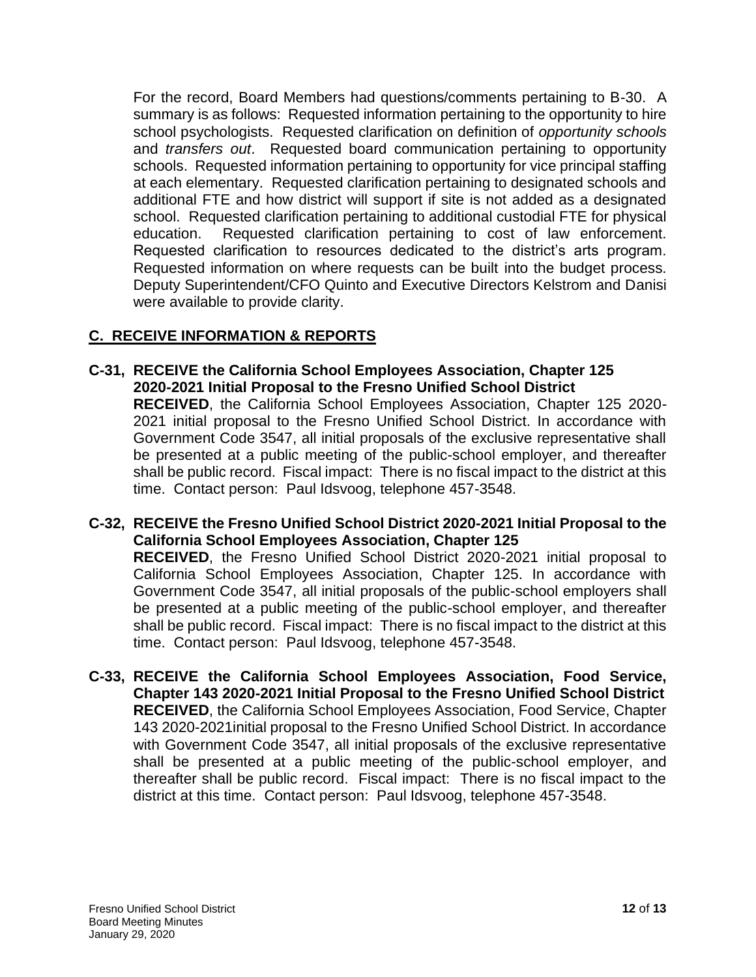For the record, Board Members had questions/comments pertaining to B-30. A summary is as follows: Requested information pertaining to the opportunity to hire school psychologists. Requested clarification on definition of *opportunity schools* and *transfers out*. Requested board communication pertaining to opportunity schools. Requested information pertaining to opportunity for vice principal staffing at each elementary. Requested clarification pertaining to designated schools and additional FTE and how district will support if site is not added as a designated school. Requested clarification pertaining to additional custodial FTE for physical education. Requested clarification pertaining to cost of law enforcement. Requested clarification to resources dedicated to the district's arts program. Requested information on where requests can be built into the budget process. Deputy Superintendent/CFO Quinto and Executive Directors Kelstrom and Danisi were available to provide clarity.

# **C. RECEIVE INFORMATION & REPORTS**

**C-31, RECEIVE the California School Employees Association, Chapter 125 2020-2021 Initial Proposal to the Fresno Unified School District RECEIVED**, the California School Employees Association, Chapter 125 2020- 2021 initial proposal to the Fresno Unified School District. In accordance with Government Code 3547, all initial proposals of the exclusive representative shall be presented at a public meeting of the public-school employer, and thereafter shall be public record. Fiscal impact: There is no fiscal impact to the district at this time. Contact person: Paul Idsvoog, telephone 457-3548.

**C-32, RECEIVE the Fresno Unified School District 2020-2021 Initial Proposal to the California School Employees Association, Chapter 125 RECEIVED**, the Fresno Unified School District 2020-2021 initial proposal to California School Employees Association, Chapter 125. In accordance with Government Code 3547, all initial proposals of the public-school employers shall be presented at a public meeting of the public-school employer, and thereafter shall be public record. Fiscal impact: There is no fiscal impact to the district at this time. Contact person: Paul Idsvoog, telephone 457-3548.

**C-33, RECEIVE the California School Employees Association, Food Service, Chapter 143 2020-2021 Initial Proposal to the Fresno Unified School District RECEIVED**, the California School Employees Association, Food Service, Chapter 143 2020-2021initial proposal to the Fresno Unified School District. In accordance with Government Code 3547, all initial proposals of the exclusive representative shall be presented at a public meeting of the public-school employer, and thereafter shall be public record. Fiscal impact: There is no fiscal impact to the district at this time. Contact person: Paul Idsvoog, telephone 457-3548.